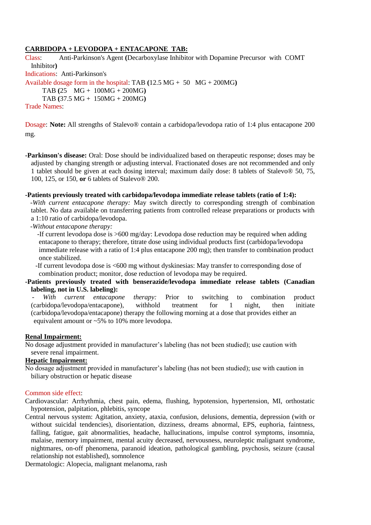## **CARBIDOPA + LEVODOPA + ENTACAPONE TAB:**

Class: Anti-Parkinson's Agent **(**Decarboxylase Inhibitor with Dopamine Precursor with COMT Inhibitor**)** Indications: Anti-Parkinson's Available dosage form in the hospital: TAB **(**12.5 MG + 50 MG + 200MG**)** TAB **(**25 MG + 100MG + 200MG**)** TAB **(**37.5 MG + 150MG + 200MG**)** Trade Names:

Dosage: **Note:** All strengths of Stalevo® contain a carbidopa/levodopa ratio of 1:4 plus entacapone 200 mg.

**-Parkinson's disease:** Oral: Dose should be individualized based on therapeutic response; doses may be adjusted by changing strength or adjusting interval. Fractionated doses are not recommended and only 1 tablet should be given at each dosing interval; maximum daily dose: 8 tablets of Stalevo® 50, 75, 100, 125, or 150, **or** 6 tablets of Stalevo® 200.

### **-Patients previously treated with carbidopa/levodopa immediate release tablets (ratio of 1:4):**

 *-With current entacapone therapy:* May switch directly to corresponding strength of combination tablet. No data available on transferring patients from controlled release preparations or products with a 1:10 ratio of carbidopa/levodopa.

 *-Without entacapone therapy:*

 -If current levodopa dose is >600 mg/day: Levodopa dose reduction may be required when adding entacapone to therapy; therefore, titrate dose using individual products first (carbidopa/levodopa immediate release with a ratio of 1:4 plus entacapone 200 mg); then transfer to combination product once stabilized.

 -If current levodopa dose is <600 mg without dyskinesias: May transfer to corresponding dose of combination product; monitor, dose reduction of levodopa may be required.

## **-Patients previously treated with benserazide/levodopa immediate release tablets (Canadian labeling, not in U.S. labeling):**

*With current entacapone therapy:* Prior to switching to combination product (carbidopa/levodopa/entacapone), withhold treatment for 1 night, then initiate (carbidopa/levodopa/entacapone) therapy the following morning at a dose that provides either an equivalent amount or ~5% to 10% more levodopa.

#### **Renal Impairment:**

No dosage adjustment provided in manufacturer's labeling (has not been studied); use caution with severe renal impairment.

# **Hepatic Impairment:**

No dosage adjustment provided in manufacturer's labeling (has not been studied); use with caution in biliary obstruction or hepatic disease

#### Common side effect:

Cardiovascular: Arrhythmia, chest pain, edema, flushing, hypotension, hypertension, MI, orthostatic hypotension, palpitation, phlebitis, syncope

Central nervous system: Agitation, anxiety, ataxia, confusion, delusions, dementia, depression (with or without suicidal tendencies), disorientation, dizziness, dreams abnormal, EPS, euphoria, faintness, falling, fatigue, gait abnormalities, headache, hallucinations, impulse control symptoms, insomnia, malaise, memory impairment, mental acuity decreased, nervousness, neuroleptic malignant syndrome, nightmares, on-off phenomena, paranoid ideation, pathological gambling, psychosis, seizure (causal relationship not established), somnolence

Dermatologic: Alopecia, malignant melanoma, rash